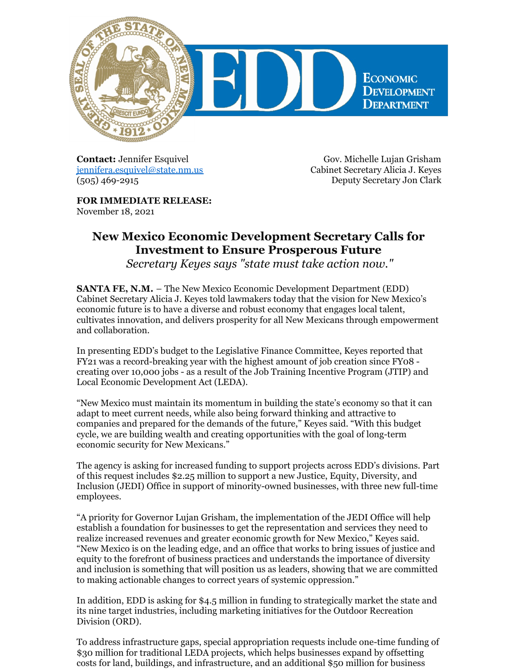

**Contact:** Jennifer Esquivel [jennifera.esquivel@state.nm.us](mailto:jennifera.esquivel@state.nm.us) (505) 469-2915

Gov. Michelle Lujan Grisham Cabinet Secretary Alicia J. Keyes Deputy Secretary Jon Clark

**FOR IMMEDIATE RELEASE:** November 18, 2021

## **New Mexico Economic Development Secretary Calls for Investment to Ensure Prosperous Future**

*Secretary Keyes says "state must take action now."*

**SANTA FE, N.M.** – The New Mexico Economic Development Department (EDD) Cabinet Secretary Alicia J. Keyes told lawmakers today that the vision for New Mexico's economic future is to have a diverse and robust economy that engages local talent, cultivates innovation, and delivers prosperity for all New Mexicans through empowerment and collaboration.

In presenting EDD's budget to the Legislative Finance Committee, Keyes reported that FY21 was a record-breaking year with the highest amount of job creation since FY08 creating over 10,000 jobs - as a result of the Job Training Incentive Program (JTIP) and Local Economic Development Act (LEDA).

"New Mexico must maintain its momentum in building the state's economy so that it can adapt to meet current needs, while also being forward thinking and attractive to companies and prepared for the demands of the future," Keyes said. "With this budget cycle, we are building wealth and creating opportunities with the goal of long-term economic security for New Mexicans."

The agency is asking for increased funding to support projects across EDD's divisions. Part of this request includes \$2.25 million to support a new Justice, Equity, Diversity, and Inclusion (JEDI) Office in support of minority-owned businesses, with three new full-time employees.

"A priority for Governor Lujan Grisham, the implementation of the JEDI Office will help establish a foundation for businesses to get the representation and services they need to realize increased revenues and greater economic growth for New Mexico," Keyes said. "New Mexico is on the leading edge, and an office that works to bring issues of justice and equity to the forefront of business practices and understands the importance of diversity and inclusion is something that will position us as leaders, showing that we are committed to making actionable changes to correct years of systemic oppression."

In addition, EDD is asking for \$4.5 million in funding to strategically market the state and its nine target industries, including marketing initiatives for the Outdoor Recreation Division (ORD).

To address infrastructure gaps, special appropriation requests include one-time funding of \$30 million for traditional LEDA projects, which helps businesses expand by offsetting costs for land, buildings, and infrastructure, and an additional \$50 million for business